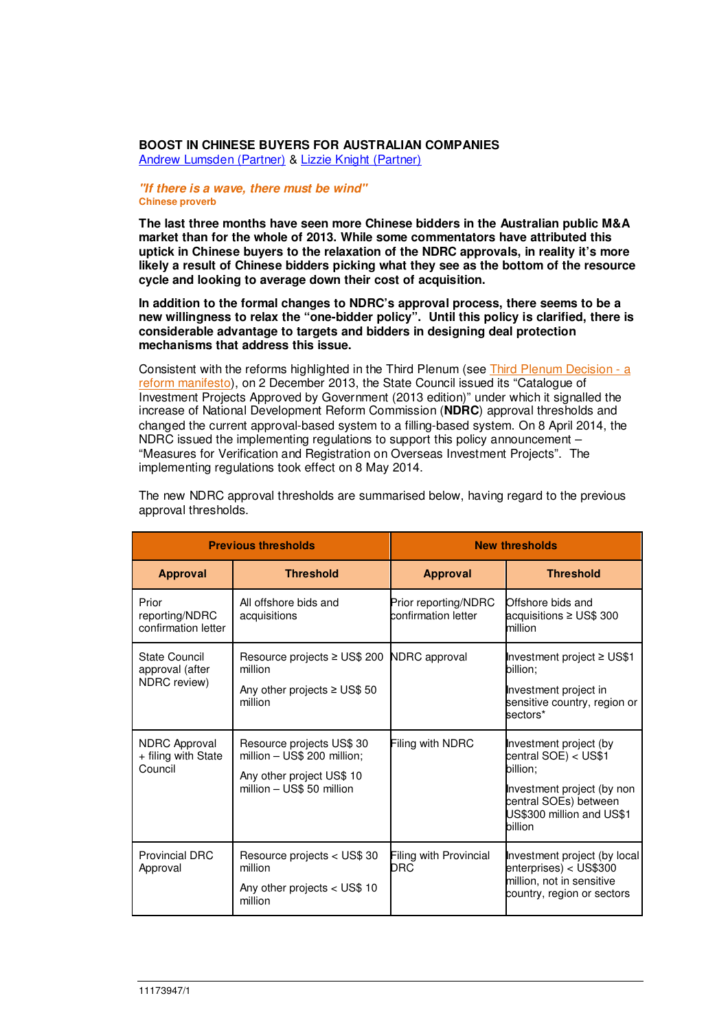## **BOOST IN CHINESE BUYERS FOR AUSTRALIAN COMPANIES**

Andrew Lumsden (Partner) & Lizzie Knight (Partner)

## **"If there is a wave, there must be wind" Chinese proverb**

**The last three months have seen more Chinese bidders in the Australian public M&A market than for the whole of 2013. While some commentators have attributed this uptick in Chinese buyers to the relaxation of the NDRC approvals, in reality it's more likely a result of Chinese bidders picking what they see as the bottom of the resource cycle and looking to average down their cost of acquisition.** 

**In addition to the formal changes to NDRC's approval process, there seems to be a new willingness to relax the "one-bidder policy". Until this policy is clarified, there is considerable advantage to targets and bidders in designing deal protection mechanisms that address this issue.**

Consistent with the reforms highlighted in the Third Plenum (see Third Plenum Decision - a reform manifesto), on 2 December 2013, the State Council issued its "Catalogue of Investment Projects Approved by Government (2013 edition)" under which it signalled the increase of National Development Reform Commission (**NDRC**) approval thresholds and changed the current approval-based system to a filling-based system. On 8 April 2014, the NDRC issued the implementing regulations to support this policy announcement – "Measures for Verification and Registration on Overseas Investment Projects". The implementing regulations took effect on 8 May 2014.

| <b>Previous thresholds</b>                             |                                                                                                                    | <b>New thresholds</b>                       |                                                                                                                                                           |
|--------------------------------------------------------|--------------------------------------------------------------------------------------------------------------------|---------------------------------------------|-----------------------------------------------------------------------------------------------------------------------------------------------------------|
| <b>Approval</b>                                        | <b>Threshold</b>                                                                                                   | <b>Approval</b>                             | <b>Threshold</b>                                                                                                                                          |
| Prior<br>reporting/NDRC<br>confirmation letter         | All offshore bids and<br>acquisitions                                                                              | Prior reporting/NDRC<br>confirmation letter | Offshore bids and<br>acquisitions ≥ US\$ 300<br>million                                                                                                   |
| State Council<br>approval (after<br>NDRC review)       | Resource projects ≥ US\$ 200 NDRC approval<br>million<br>Any other projects $\geq$ US\$ 50<br>million              |                                             | Investment project ≥ US\$1<br>billion:<br>Investment project in<br>sensitive country, region or<br>sectors*                                               |
| <b>NDRC Approval</b><br>+ filing with State<br>Council | Resource projects US\$ 30<br>million - US\$ 200 million;<br>Any other project US\$ 10<br>million - US\$ 50 million | Filing with NDRC                            | Investment project (by<br>central SOE) < US\$1<br>billion:<br>Investment project (by non<br>central SOEs) between<br>US\$300 million and US\$1<br>billion |
| <b>Provincial DRC</b><br>Approval                      | Resource projects < US\$ 30<br>million<br>Any other projects < US\$ 10<br>million                                  | <b>Filing with Provincial</b><br>DRC        | Investment project (by local<br>enterprises) < US\$300<br>million, not in sensitive<br>country, region or sectors                                         |

The new NDRC approval thresholds are summarised below, having regard to the previous approval thresholds.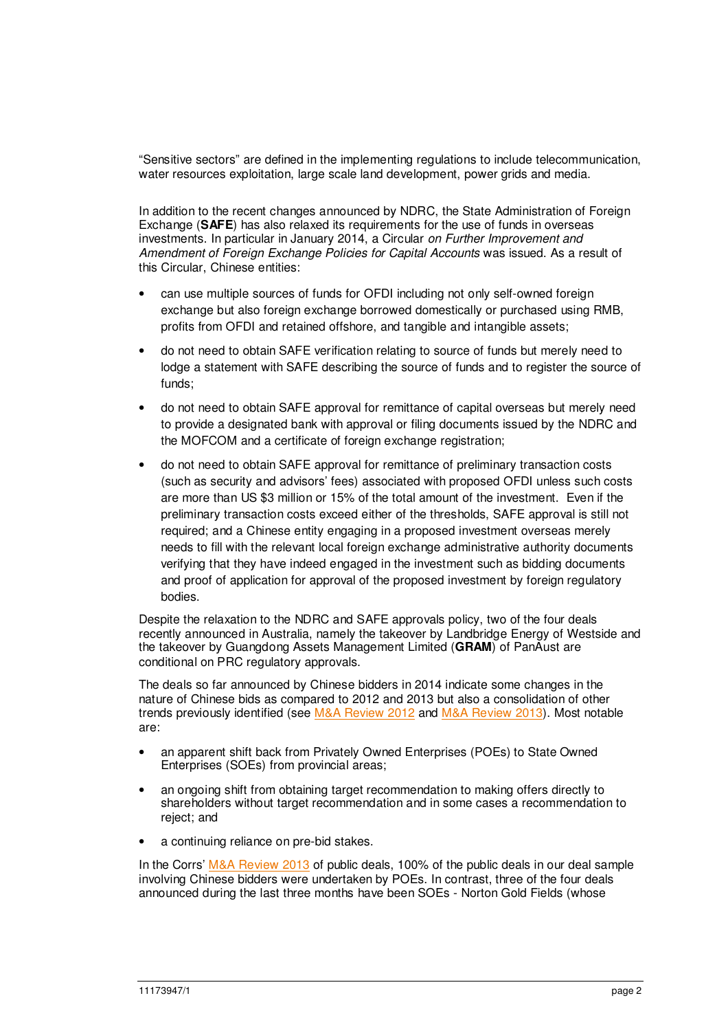"Sensitive sectors" are defined in the implementing regulations to include telecommunication, water resources exploitation, large scale land development, power grids and media.

In addition to the recent changes announced by NDRC, the State Administration of Foreign Exchange (**SAFE**) has also relaxed its requirements for the use of funds in overseas investments. In particular in January 2014, a Circular on Further Improvement and Amendment of Foreign Exchange Policies for Capital Accounts was issued. As a result of this Circular, Chinese entities:

- can use multiple sources of funds for OFDI including not only self-owned foreign exchange but also foreign exchange borrowed domestically or purchased using RMB, profits from OFDI and retained offshore, and tangible and intangible assets;
- do not need to obtain SAFE verification relating to source of funds but merely need to lodge a statement with SAFE describing the source of funds and to register the source of funds;
- do not need to obtain SAFE approval for remittance of capital overseas but merely need to provide a designated bank with approval or filing documents issued by the NDRC and the MOFCOM and a certificate of foreign exchange registration;
- do not need to obtain SAFE approval for remittance of preliminary transaction costs (such as security and advisors' fees) associated with proposed OFDI unless such costs are more than US \$3 million or 15% of the total amount of the investment. Even if the preliminary transaction costs exceed either of the thresholds, SAFE approval is still not required; and a Chinese entity engaging in a proposed investment overseas merely needs to fill with the relevant local foreign exchange administrative authority documents verifying that they have indeed engaged in the investment such as bidding documents and proof of application for approval of the proposed investment by foreign regulatory bodies.

Despite the relaxation to the NDRC and SAFE approvals policy, two of the four deals recently announced in Australia, namely the takeover by Landbridge Energy of Westside and the takeover by Guangdong Assets Management Limited (**GRAM**) of PanAust are conditional on PRC regulatory approvals.

The deals so far announced by Chinese bidders in 2014 indicate some changes in the nature of Chinese bids as compared to 2012 and 2013 but also a consolidation of other trends previously identified (see M&A Review 2012 and M&A Review 2013). Most notable are:

- an apparent shift back from Privately Owned Enterprises (POEs) to State Owned Enterprises (SOEs) from provincial areas;
- an ongoing shift from obtaining target recommendation to making offers directly to shareholders without target recommendation and in some cases a recommendation to reject; and
- a continuing reliance on pre-bid stakes.

In the Corrs' M&A Review 2013 of public deals, 100% of the public deals in our deal sample involving Chinese bidders were undertaken by POEs. In contrast, three of the four deals announced during the last three months have been SOEs - Norton Gold Fields (whose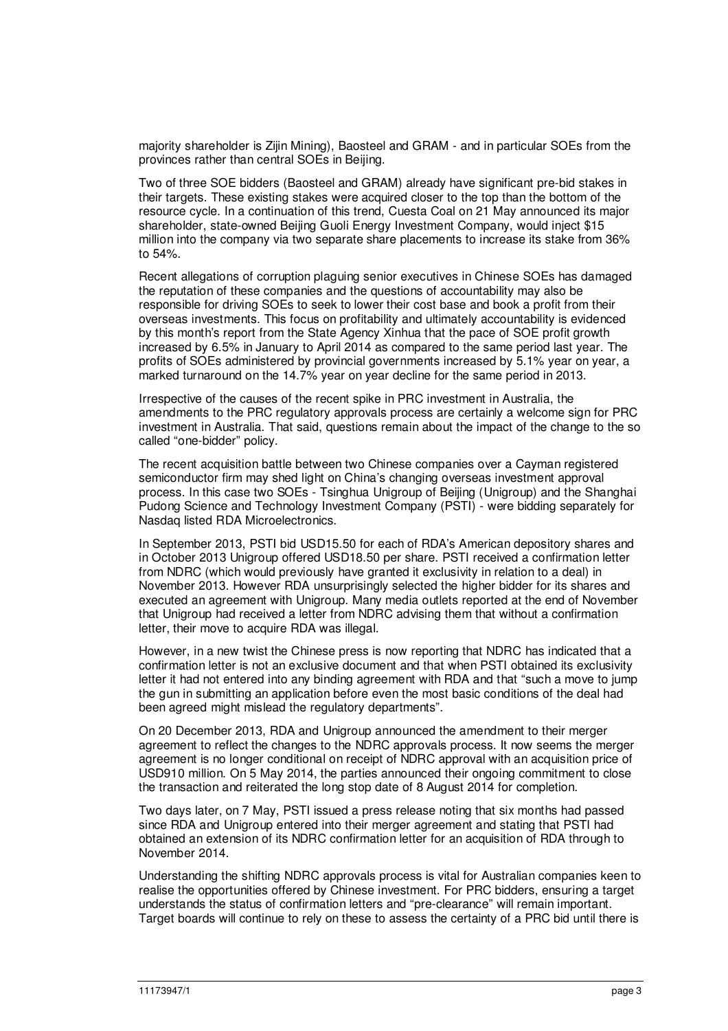majority shareholder is Zijin Mining), Baosteel and GRAM - and in particular SOEs from the provinces rather than central SOEs in Beijing.

Two of three SOE bidders (Baosteel and GRAM) already have significant pre-bid stakes in their targets. These existing stakes were acquired closer to the top than the bottom of the resource cycle. In a continuation of this trend, Cuesta Coal on 21 May announced its major shareholder, state-owned Beijing Guoli Energy Investment Company, would inject \$15 million into the company via two separate share placements to increase its stake from 36% to 54%.

Recent allegations of corruption plaguing senior executives in Chinese SOEs has damaged the reputation of these companies and the questions of accountability may also be responsible for driving SOEs to seek to lower their cost base and book a profit from their overseas investments. This focus on profitability and ultimately accountability is evidenced by this month's report from the State Agency Xinhua that the pace of SOE profit growth increased by 6.5% in January to April 2014 as compared to the same period last year. The profits of SOEs administered by provincial governments increased by 5.1% year on year, a marked turnaround on the 14.7% year on year decline for the same period in 2013.

Irrespective of the causes of the recent spike in PRC investment in Australia, the amendments to the PRC regulatory approvals process are certainly a welcome sign for PRC investment in Australia. That said, questions remain about the impact of the change to the so called "one-bidder" policy.

The recent acquisition battle between two Chinese companies over a Cayman registered semiconductor firm may shed light on China's changing overseas investment approval process. In this case two SOEs - Tsinghua Unigroup of Beijing (Unigroup) and the Shanghai Pudong Science and Technology Investment Company (PSTI) - were bidding separately for Nasdaq listed RDA Microelectronics.

In September 2013, PSTI bid USD15.50 for each of RDA's American depository shares and in October 2013 Unigroup offered USD18.50 per share. PSTI received a confirmation letter from NDRC (which would previously have granted it exclusivity in relation to a deal) in November 2013. However RDA unsurprisingly selected the higher bidder for its shares and executed an agreement with Unigroup. Many media outlets reported at the end of November that Unigroup had received a letter from NDRC advising them that without a confirmation letter, their move to acquire RDA was illegal.

However, in a new twist the Chinese press is now reporting that NDRC has indicated that a confirmation letter is not an exclusive document and that when PSTI obtained its exclusivity letter it had not entered into any binding agreement with RDA and that "such a move to jump the gun in submitting an application before even the most basic conditions of the deal had been agreed might mislead the regulatory departments".

On 20 December 2013, RDA and Unigroup announced the amendment to their merger agreement to reflect the changes to the NDRC approvals process. It now seems the merger agreement is no longer conditional on receipt of NDRC approval with an acquisition price of USD910 million. On 5 May 2014, the parties announced their ongoing commitment to close the transaction and reiterated the long stop date of 8 August 2014 for completion.

Two days later, on 7 May, PSTI issued a press release noting that six months had passed since RDA and Unigroup entered into their merger agreement and stating that PSTI had obtained an extension of its NDRC confirmation letter for an acquisition of RDA through to November 2014.

Understanding the shifting NDRC approvals process is vital for Australian companies keen to realise the opportunities offered by Chinese investment. For PRC bidders, ensuring a target understands the status of confirmation letters and "pre-clearance" will remain important. Target boards will continue to rely on these to assess the certainty of a PRC bid until there is